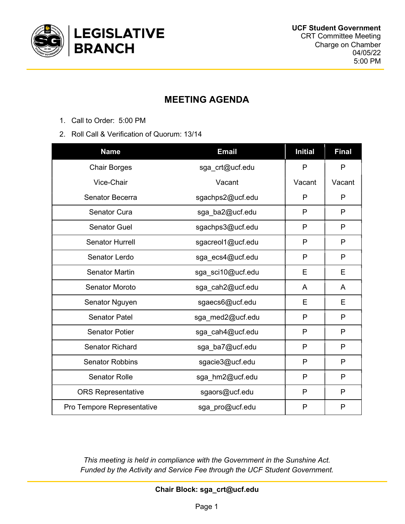

# MEETING AGENDA

- 1. Call to Order: 5:00 PM
- 2. Roll Call & Verification of Quorum: 13/14

| <b>Name</b>                | <b>Email</b>      | <b>Initial</b> | <b>Final</b> |
|----------------------------|-------------------|----------------|--------------|
| <b>Chair Borges</b>        | sga_crt@ucf.edu   | P              | $\mathsf{P}$ |
| Vice-Chair                 | Vacant            | Vacant         | Vacant       |
| Senator Becerra            | sgachps2@ucf.edu  | P              | P            |
| <b>Senator Cura</b>        | sga_ba2@ucf.edu   | P              | $\mathsf{P}$ |
| <b>Senator Guel</b>        | sgachps3@ucf.edu  | P              | P            |
| <b>Senator Hurrell</b>     | sgacreol1@ucf.edu | P              | P            |
| Senator Lerdo              | sga ecs4@ucf.edu  | P              | P            |
| <b>Senator Martin</b>      | sga_sci10@ucf.edu | E              | Е            |
| <b>Senator Moroto</b>      | sga_cah2@ucf.edu  | A              | A            |
| Senator Nguyen             | sgaecs6@ucf.edu   | E              | E            |
| <b>Senator Patel</b>       | sga med2@ucf.edu  | P              | P            |
| <b>Senator Potier</b>      | sga_cah4@ucf.edu  | P              | P            |
| <b>Senator Richard</b>     | sga_ba7@ucf.edu   | P              | P            |
| <b>Senator Robbins</b>     | sgacie3@ucf.edu   | P              | P            |
| <b>Senator Rolle</b>       | sga_hm2@ucf.edu   | P              | P            |
| <b>ORS Representative</b>  | sgaors@ucf.edu    | P              | P            |
| Pro Tempore Representative | sga_pro@ucf.edu   | P              | P            |

This meeting is held in compliance with the Government in the Sunshine Act. Funded by the Activity and Service Fee through the UCF Student Government.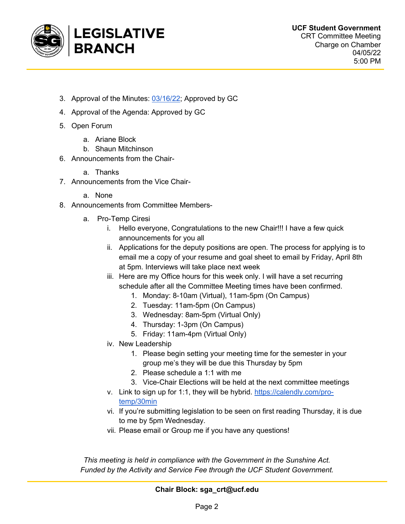

- 3. Approval of the Minutes: 03/16/22; Approved by GC
- 4. Approval of the Agenda: Approved by GC
- 5. Open Forum
	- a. Ariane Block
	- b. Shaun Mitchinson
- 6. Announcements from the Chair
	- a. Thanks
- 7. Announcements from the Vice Chair
	- a. None
- 8. Announcements from Committee Members
	- a. Pro-Temp Ciresi
		- i. Hello everyone, Congratulations to the new Chair!!! I have a few quick announcements for you all
		- ii. Applications for the deputy positions are open. The process for applying is to email me a copy of your resume and goal sheet to email by Friday, April 8th at 5pm. Interviews will take place next week
		- iii. Here are my Office hours for this week only. I will have a set recurring schedule after all the Committee Meeting times have been confirmed.
			- 1. Monday: 8-10am (Virtual), 11am-5pm (On Campus)
			- 2. Tuesday: 11am-5pm (On Campus)
			- 3. Wednesday: 8am-5pm (Virtual Only)
			- 4. Thursday: 1-3pm (On Campus)
			- 5. Friday: 11am-4pm (Virtual Only)
		- iv. New Leadership
			- 1. Please begin setting your meeting time for the semester in your group me's they will be due this Thursday by 5pm
			- 2. Please schedule a 1:1 with me
			- 3. Vice-Chair Elections will be held at the next committee meetings
		- v. Link to sign up for 1:1, they will be hybrid. https://calendly.com/protemp/30min
		- vi. If you're submitting legislation to be seen on first reading Thursday, it is due to me by 5pm Wednesday.
		- vii. Please email or Group me if you have any questions!

This meeting is held in compliance with the Government in the Sunshine Act. Funded by the Activity and Service Fee through the UCF Student Government.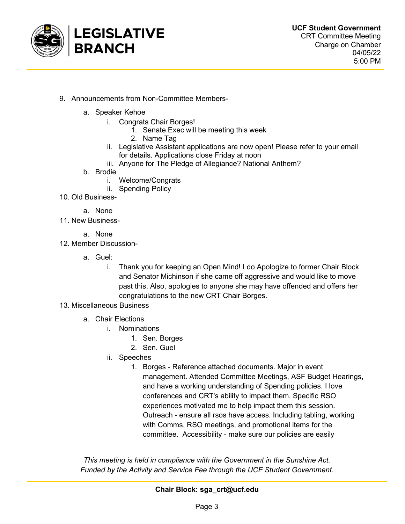

- 9. Announcements from Non-Committee Members
	- a. Speaker Kehoe
		- i. Congrats Chair Borges!
			- 1. Senate Exec will be meeting this week
			- 2. Name Tag
		- ii. Legislative Assistant applications are now open! Please refer to your email for details. Applications close Friday at noon
		- iii. Anyone for The Pledge of Allegiance? National Anthem?
	- b. Brodie
		- i. Welcome/Congrats
		- ii. Spending Policy
- 10. Old Business
	- a. None
- 11. New Business
	- a. None
- 12. Member Discussion
	- a. Guel:
		- i. Thank you for keeping an Open Mind! I do Apologize to former Chair Block and Senator Michinson if she came off aggressive and would like to move past this. Also, apologies to anyone she may have offended and offers her congratulations to the new CRT Chair Borges.
- 13. Miscellaneous Business
	- a. Chair Elections
		- i. Nominations
			- 1. Sen. Borges
			- 2. Sen. Guel
		- ii. Speeches
			- 1. Borges Reference attached documents. Major in event management. Attended Committee Meetings, ASF Budget Hearings, and have a working understanding of Spending policies. I love conferences and CRT's ability to impact them. Specific RSO experiences motivated me to help impact them this session. Outreach - ensure all rsos have access. Including tabling, working with Comms, RSO meetings, and promotional items for the committee. Accessibility - make sure our policies are easily

This meeting is held in compliance with the Government in the Sunshine Act. Funded by the Activity and Service Fee through the UCF Student Government.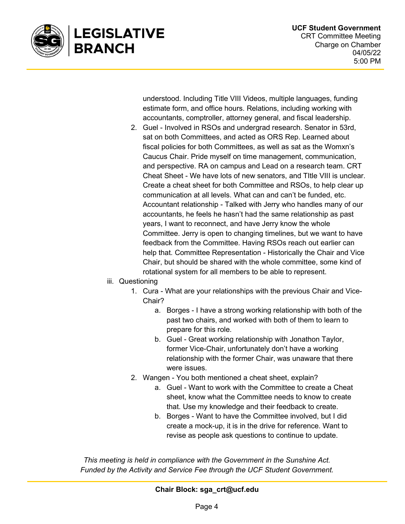

understood. Including Title VIII Videos, multiple languages, funding estimate form, and office hours. Relations, including working with accountants, comptroller, attorney general, and fiscal leadership.

2. Guel - Involved in RSOs and undergrad research. Senator in 53rd, sat on both Committees, and acted as ORS Rep. Learned about fiscal policies for both Committees, as well as sat as the Womxn's Caucus Chair. Pride myself on time management, communication, and perspective. RA on campus and Lead on a research team. CRT Cheat Sheet - We have lots of new senators, and TItle VIII is unclear. Create a cheat sheet for both Committee and RSOs, to help clear up communication at all levels. What can and can't be funded, etc. Accountant relationship - Talked with Jerry who handles many of our accountants, he feels he hasn't had the same relationship as past years, I want to reconnect, and have Jerry know the whole Committee. Jerry is open to changing timelines, but we want to have feedback from the Committee. Having RSOs reach out earlier can help that. Committee Representation - Historically the Chair and Vice Chair, but should be shared with the whole committee, some kind of rotational system for all members to be able to represent.

#### iii. Questioning

- 1. Cura What are your relationships with the previous Chair and Vice-Chair?
	- a. Borges I have a strong working relationship with both of the past two chairs, and worked with both of them to learn to prepare for this role.
	- b. Guel Great working relationship with Jonathon Taylor, former Vice-Chair, unfortunately don't have a working relationship with the former Chair, was unaware that there were issues.
- 2. Wangen You both mentioned a cheat sheet, explain?
	- a. Guel Want to work with the Committee to create a Cheat sheet, know what the Committee needs to know to create that. Use my knowledge and their feedback to create.
	- b. Borges Want to have the Committee involved, but I did create a mock-up, it is in the drive for reference. Want to revise as people ask questions to continue to update.

This meeting is held in compliance with the Government in the Sunshine Act. Funded by the Activity and Service Fee through the UCF Student Government.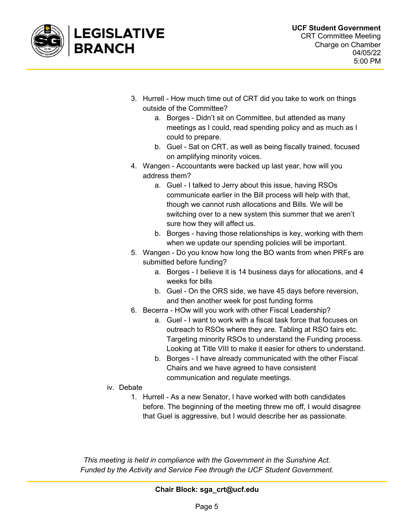

- 3. Hurrell How much time out of CRT did you take to work on things outside of the Committee?
	- a. Borges Didn't sit on Committee, but attended as many meetings as I could, read spending policy and as much as I could to prepare.
	- b. Guel Sat on CRT, as well as being fiscally trained, focused on amplifying minority voices.
- 4. Wangen Accountants were backed up last year, how will you address them?
	- a. Guel I talked to Jerry about this issue, having RSOs communicate earlier in the Bill process will help with that, though we cannot rush allocations and Bills. We will be switching over to a new system this summer that we aren't sure how they will affect us.
	- b. Borges having those relationships is key, working with them when we update our spending policies will be important.
- 5. Wangen Do you know how long the BO wants from when PRFs are submitted before funding?
	- a. Borges I believe it is 14 business days for allocations, and 4 weeks for bills
	- b. Guel On the ORS side, we have 45 days before reversion, and then another week for post funding forms
- 6. Becerra HOw will you work with other Fiscal Leadership?
	- a. Guel I want to work with a fiscal task force that focuses on outreach to RSOs where they are. Tabling at RSO fairs etc. Targeting minority RSOs to understand the Funding process. Looking at Title VIII to make it easier for others to understand.
	- b. Borges I have already communicated with the other Fiscal Chairs and we have agreed to have consistent communication and regulate meetings.
- iv. Debate
	- 1. Hurrell As a new Senator, I have worked with both candidates before. The beginning of the meeting threw me off, I would disagree that Guel is aggressive, but I would describe her as passionate.

This meeting is held in compliance with the Government in the Sunshine Act. Funded by the Activity and Service Fee through the UCF Student Government.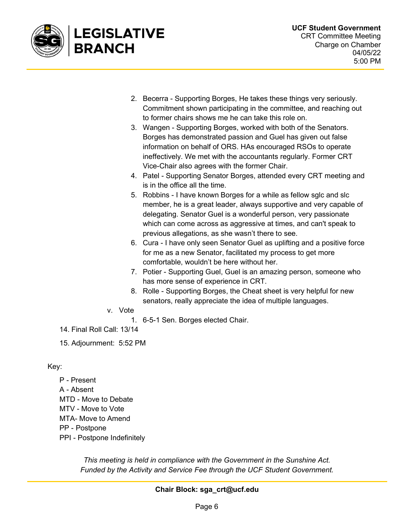

- 2. Becerra Supporting Borges, He takes these things very seriously. Commitment shown participating in the committee, and reaching out to former chairs shows me he can take this role on.
- 3. Wangen Supporting Borges, worked with both of the Senators. Borges has demonstrated passion and Guel has given out false information on behalf of ORS. HAs encouraged RSOs to operate ineffectively. We met with the accountants regularly. Former CRT Vice-Chair also agrees with the former Chair.
- 4. Patel Supporting Senator Borges, attended every CRT meeting and is in the office all the time.
- 5. Robbins I have known Borges for a while as fellow sglc and slc member, he is a great leader, always supportive and very capable of delegating. Senator Guel is a wonderful person, very passionate which can come across as aggressive at times, and can't speak to previous allegations, as she wasn't there to see.
- 6. Cura I have only seen Senator Guel as uplifting and a positive force for me as a new Senator, facilitated my process to get more comfortable, wouldn't be here without her.
- 7. Potier Supporting Guel, Guel is an amazing person, someone who has more sense of experience in CRT.
- 8. Rolle Supporting Borges, the Cheat sheet is very helpful for new senators, really appreciate the idea of multiple languages.
- v. Vote
	- 1. 6-5-1 Sen. Borges elected Chair.
- 14. Final Roll Call: 13/14

15. Adjournment: 5:52 PM

### Key:

P - Present A - Absent MTD - Move to Debate MTV - Move to Vote MTA- Move to Amend PP - Postpone PPI - Postpone Indefinitely

> This meeting is held in compliance with the Government in the Sunshine Act. Funded by the Activity and Service Fee through the UCF Student Government.